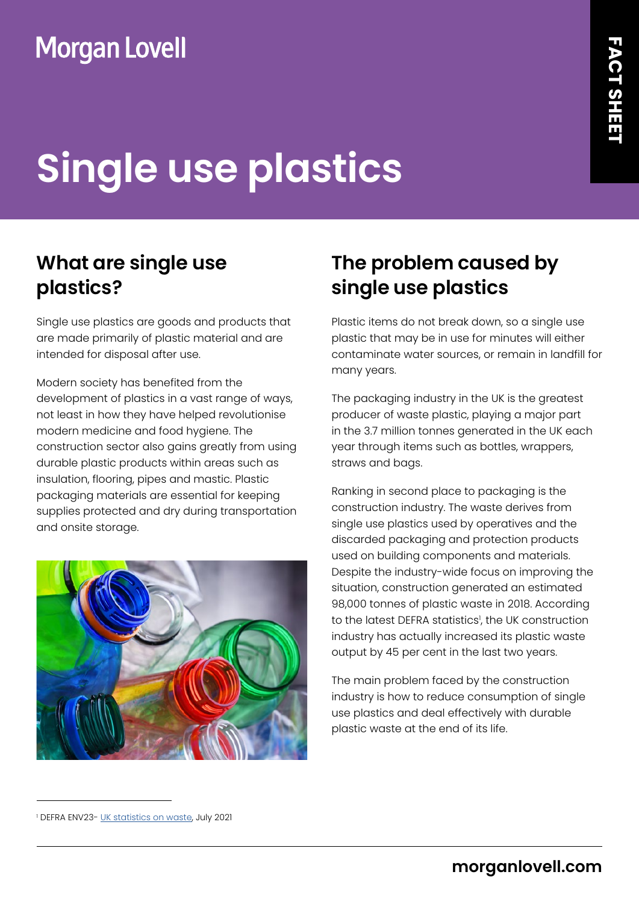# **Single use plastics**

## **What are single use plastics?**

Single use plastics are goods and products that are made primarily of plastic material and are intended for disposal after use.

Modern society has benefited from the development of plastics in a vast range of ways, not least in how they have helped revolutionise modern medicine and food hygiene. The construction sector also gains greatly from using durable plastic products within areas such as insulation, flooring, pipes and mastic. Plastic packaging materials are essential for keeping supplies protected and dry during transportation and onsite storage.



## **The problem caused by single use plastics**

Plastic items do not break down, so a single use plastic that may be in use for minutes will either contaminate water sources, or remain in landfill for many years.

The packaging industry in the UK is the greatest producer of waste plastic, playing a major part in the 3.7 million tonnes generated in the UK each year through items such as bottles, wrappers, straws and bags.

Ranking in second place to packaging is the construction industry. The waste derives from single use plastics used by operatives and the discarded packaging and protection products used on building components and materials. Despite the industry-wide focus on improving the situation, construction generated an estimated 98,000 tonnes of plastic waste in 2018. According to the latest DEFRA statistics', the UK construction industry has actually increased its plastic waste output by 45 per cent in the last two years.

The main problem faced by the construction industry is how to reduce consumption of single use plastics and deal effectively with durable plastic waste at the end of its life.

<sup>&</sup>lt;sup>1</sup> DEFRA ENV23- <u>UK statistics on waste</u>, July 2021